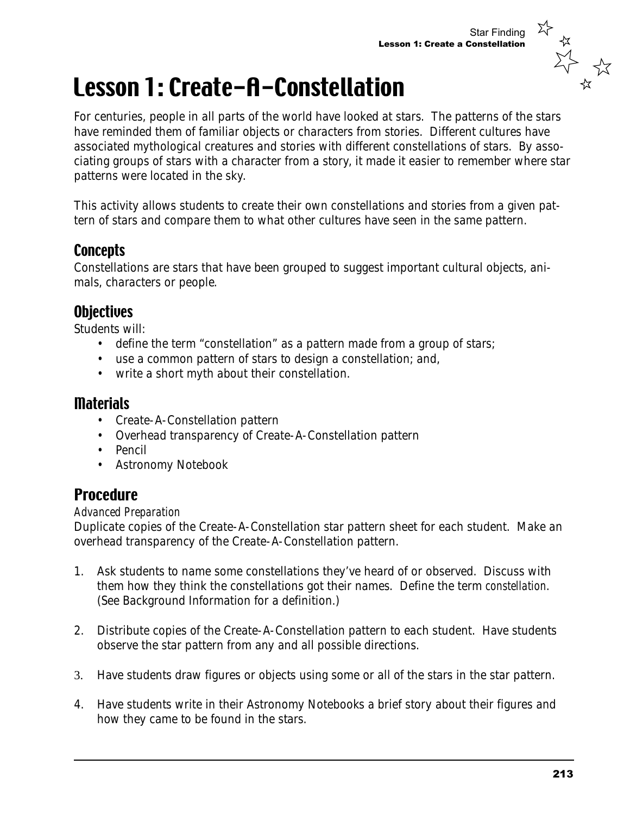

# Lesson 1: Create-A-Constellation

For centuries, people in all parts of the world have looked at stars. The patterns of the stars have reminded them of familiar objects or characters from stories. Different cultures have associated mythological creatures and stories with different constellations of stars. By associating groups of stars with a character from a story, it made it easier to remember where star patterns were located in the sky.

This activity allows students to create their own constellations and stories from a given pattern of stars and compare them to what other cultures have seen in the same pattern.

## Concepts

Constellations are stars that have been grouped to suggest important cultural objects, animals, characters or people.

## **Objectives**

Students will:

- define the term "constellation" as a pattern made from a group of stars;
- use a common pattern of stars to design a constellation; and,
- write a short myth about their constellation.

### **Materials**

- Create-A-Constellation pattern
- Overhead transparency of Create-A-Constellation pattern
- Pencil
- Astronomy Notebook

### Procedure

*Advanced Preparation*

Duplicate copies of the Create-A-Constellation star pattern sheet for each student. Make an overhead transparency of the Create-A-Constellation pattern.

- 1. Ask students to name some constellations they've heard of or observed. Discuss with them how they think the constellations got their names. Define the term *constellation*. (See Background Information for a definition.)
- 2. Distribute copies of the Create-A-Constellation pattern to each student. Have students observe the star pattern from any and all possible directions.
- 3. Have students draw figures or objects using some or all of the stars in the star pattern.
- 4. Have students write in their Astronomy Notebooks a brief story about their figures and how they came to be found in the stars.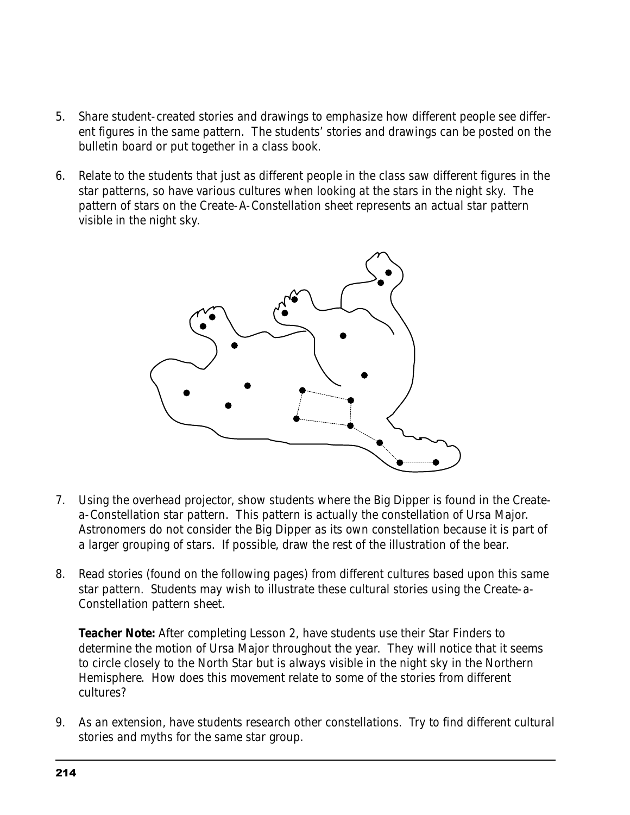- 5. Share student-created stories and drawings to emphasize how different people see different figures in the same pattern. The students' stories and drawings can be posted on the bulletin board or put together in a class book.
- 6. Relate to the students that just as different people in the class saw different figures in the star patterns, so have various cultures when looking at the stars in the night sky. The pattern of stars on the Create-A-Constellation sheet represents an actual star pattern visible in the night sky.



- 7. Using the overhead projector, show students where the Big Dipper is found in the Createa-Constellation star pattern. This pattern is actually the constellation of Ursa Major. Astronomers do not consider the Big Dipper as its own constellation because it is part of a larger grouping of stars. If possible, draw the rest of the illustration of the bear.
- 8. Read stories (found on the following pages) from different cultures based upon this same star pattern. Students may wish to illustrate these cultural stories using the Create-a-Constellation pattern sheet.

**Teacher Note:** After completing Lesson 2, have students use their Star Finders to determine the motion of Ursa Major throughout the year. They will notice that it seems to circle closely to the North Star but is always visible in the night sky in the Northern Hemisphere. How does this movement relate to some of the stories from different cultures?

9. As an extension, have students research other constellations. Try to find different cultural stories and myths for the same star group.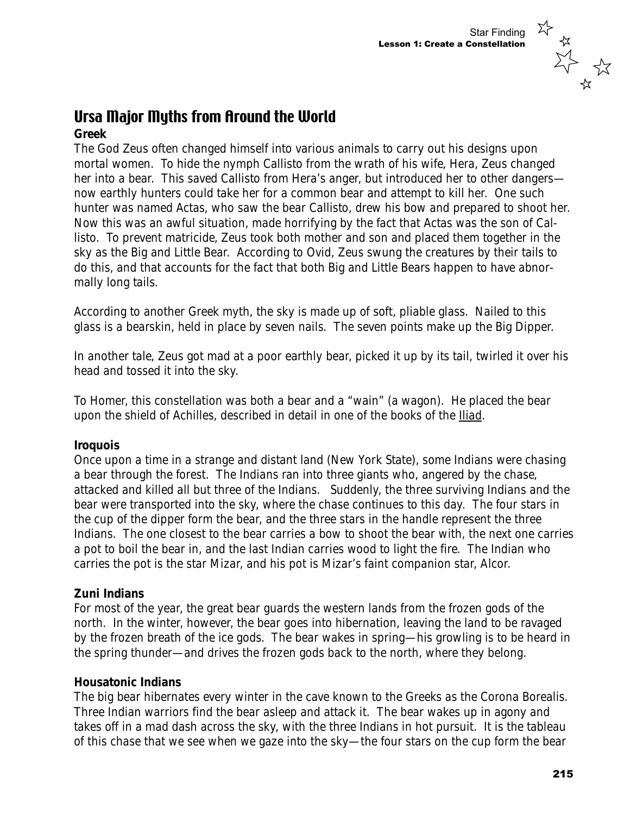

## Ursa Major Myths from Around the World

#### **Greek**

The God Zeus often changed himself into various animals to carry out his designs upon mortal women. To hide the nymph Callisto from the wrath of his wife, Hera, Zeus changed her into a bear. This saved Callisto from Hera's anger, but introduced her to other dangers now earthly hunters could take her for a common bear and attempt to kill her. One such hunter was named Actas, who saw the bear Callisto, drew his bow and prepared to shoot her. Now this was an awful situation, made horrifying by the fact that Actas was the son of Callisto. To prevent matricide, Zeus took both mother and son and placed them together in the sky as the Big and Little Bear. According to Ovid, Zeus swung the creatures by their tails to do this, and that accounts for the fact that both Big and Little Bears happen to have abnormally long tails.

According to another Greek myth, the sky is made up of soft, pliable glass. Nailed to this glass is a bearskin, held in place by seven nails. The seven points make up the Big Dipper.

In another tale, Zeus got mad at a poor earthly bear, picked it up by its tail, twirled it over his head and tossed it into the sky.

To Homer, this constellation was both a bear and a "wain" (a wagon). He placed the bear upon the shield of Achilles, described in detail in one of the books of the Iliad.

#### **Iroquois**

Once upon a time in a strange and distant land (New York State), some Indians were chasing a bear through the forest. The Indians ran into three giants who, angered by the chase, attacked and killed all but three of the Indians. Suddenly, the three surviving Indians and the bear were transported into the sky, where the chase continues to this day. The four stars in the cup of the dipper form the bear, and the three stars in the handle represent the three Indians. The one closest to the bear carries a bow to shoot the bear with, the next one carries a pot to boil the bear in, and the last Indian carries wood to light the fire. The Indian who carries the pot is the star Mizar, and his pot is Mizar's faint companion star, Alcor.

#### **Zuni Indians**

For most of the year, the great bear guards the western lands from the frozen gods of the north. In the winter, however, the bear goes into hibernation, leaving the land to be ravaged by the frozen breath of the ice gods. The bear wakes in spring—his growling is to be heard in the spring thunder—and drives the frozen gods back to the north, where they belong.

#### **Housatonic Indians**

The big bear hibernates every winter in the cave known to the Greeks as the Corona Borealis. Three Indian warriors find the bear asleep and attack it. The bear wakes up in agony and takes off in a mad dash across the sky, with the three Indians in hot pursuit. It is the tableau of this chase that we see when we gaze into the sky—the four stars on the cup form the bear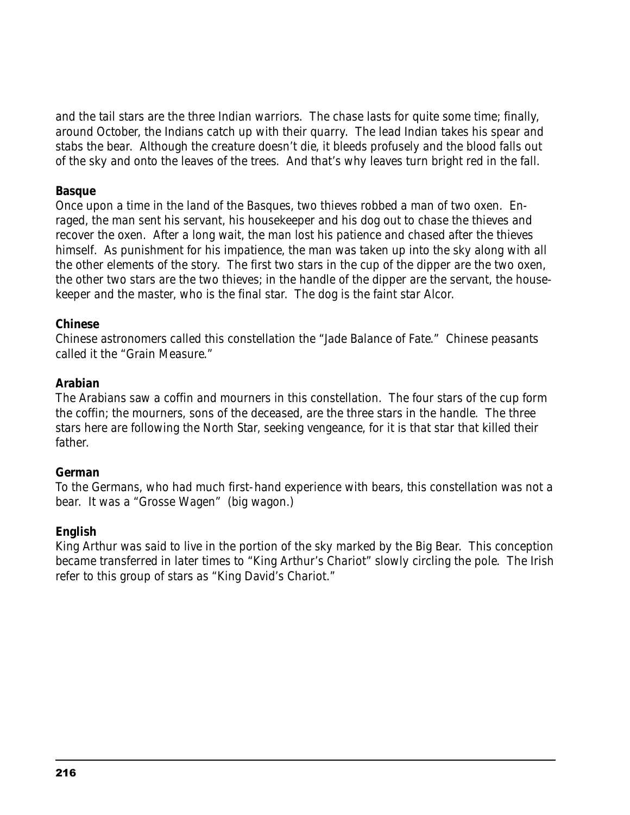and the tail stars are the three Indian warriors. The chase lasts for quite some time; finally, around October, the Indians catch up with their quarry. The lead Indian takes his spear and stabs the bear. Although the creature doesn't die, it bleeds profusely and the blood falls out of the sky and onto the leaves of the trees. And that's why leaves turn bright red in the fall.

#### **Basque**

Once upon a time in the land of the Basques, two thieves robbed a man of two oxen. Enraged, the man sent his servant, his housekeeper and his dog out to chase the thieves and recover the oxen. After a long wait, the man lost his patience and chased after the thieves himself. As punishment for his impatience, the man was taken up into the sky along with all the other elements of the story. The first two stars in the cup of the dipper are the two oxen, the other two stars are the two thieves; in the handle of the dipper are the servant, the housekeeper and the master, who is the final star. The dog is the faint star Alcor.

#### **Chinese**

Chinese astronomers called this constellation the "Jade Balance of Fate." Chinese peasants called it the "Grain Measure."

#### **Arabian**

The Arabians saw a coffin and mourners in this constellation. The four stars of the cup form the coffin; the mourners, sons of the deceased, are the three stars in the handle. The three stars here are following the North Star, seeking vengeance, for it is that star that killed their father.

#### **German**

To the Germans, who had much first-hand experience with bears, this constellation was not a bear. It was a "Grosse Wagen" (big wagon.)

#### **English**

King Arthur was said to live in the portion of the sky marked by the Big Bear. This conception became transferred in later times to "King Arthur's Chariot" slowly circling the pole. The Irish refer to this group of stars as "King David's Chariot."